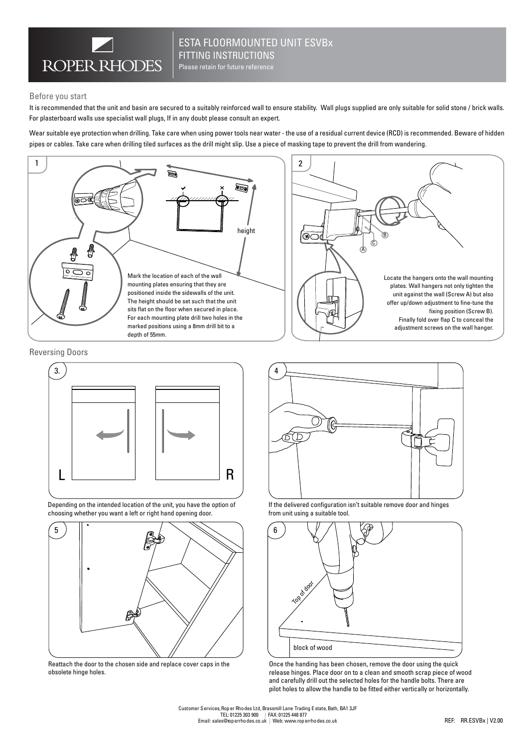

## ESTA FLOORMOUNTED UNIT ESVBx FITTING INSTRUCTIONS

Please retain for future reference

#### Before you start

It is recommended that the unit and basin are secured to a suitably reinforced wall to ensure stability. Wall plugs supplied are only suitable for solid stone / brick walls. For plasterboard walls use specialist wall plugs, If in any doubt please consult an expert.

Wear suitable eye protection when drilling. Take care when using power tools near water - the use of a residual current device (RCD) is recommended. Beware of hidden pipes or cables. Take care when drilling tiled surfaces as the drill might slip. Use a piece of masking tape to prevent the drill from wandering.



Reversing Doors



Depending on the intended location of the unit, you have the option of choosing whether you want a left or right hand opening door.



Reattach the door to the chosen side and replace cover caps in the obsolete hinge holes.



If the delivered configuration isn't suitable remove door and hinges from unit using a suitable tool.



Once the handing has been chosen, remove the door using the quick release hinges. Place door on to a clean and smooth scrap piece of wood and carefully drill out the selected holes for the handle bolts. There are pilot holes to allow the handle to be fitted either vertically or horizontally.